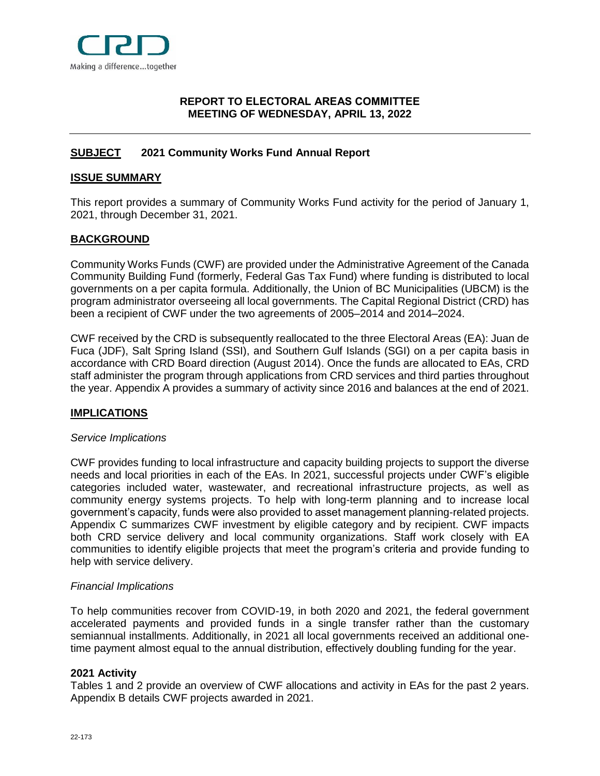

## <span id="page-0-0"></span>**[REPORT](#page-0-0) TO ELECTORAL AREAS COMMITTEE MEETING OF WEDNESDAY, APRIL 13, 2022**

# <span id="page-0-1"></span>**[SUBJECT](#page-0-1) 2021 Community Works Fund Annual Report**

### <span id="page-0-2"></span>**[ISSUE SUMMARY](#page-0-2)**

This report provides a summary of Community Works Fund activity for the period of January 1, 2021, through December 31, 2021.

## <span id="page-0-3"></span>**[BACKGROUND](#page-0-3)**

Community Works Funds (CWF) are provided under the Administrative Agreement of the Canada Community Building Fund (formerly, Federal Gas Tax Fund) where funding is distributed to local governments on a per capita formula. Additionally, the Union of BC Municipalities (UBCM) is the program administrator overseeing all local governments. The Capital Regional District (CRD) has been a recipient of CWF under the two agreements of 2005–2014 and 2014–2024.

CWF received by the CRD is subsequently reallocated to the three Electoral Areas (EA): Juan de Fuca (JDF), Salt Spring Island (SSI), and Southern Gulf Islands (SGI) on a per capita basis in accordance with CRD Board direction (August 2014). Once the funds are allocated to EAs, CRD staff administer the program through applications from CRD services and third parties throughout the year. Appendix A provides a summary of activity since 2016 and balances at the end of 2021.

## <span id="page-0-4"></span>**[IMPLICATIONS](#page-0-4)**

## *Service Implications*

CWF provides funding to local infrastructure and capacity building projects to support the diverse needs and local priorities in each of the EAs. In 2021, successful projects under CWF's eligible categories included water, wastewater, and recreational infrastructure projects, as well as community energy systems projects. To help with long-term planning and to increase local government's capacity, funds were also provided to asset management planning-related projects. Appendix C summarizes CWF investment by eligible category and by recipient. CWF impacts both CRD service delivery and local community organizations. Staff work closely with EA communities to identify eligible projects that meet the program's criteria and provide funding to help with service delivery.

#### *Financial Implications*

<span id="page-0-5"></span>To help communities recover from COVID-19, in both 2020 and 2021, the federal government accelerated payments and provided funds in a single transfer rather than the customary semiannual installments. Additionally, in 2021 all local governments received an additional onetime payment almost equal to the annual distribution, effectively doubling funding for the year.

#### **2021 Activity**

Tables 1 and 2 provide an overview of CWF allocations and activity in EAs for the past 2 years. Appendix B details CWF projects awarded in 2021.